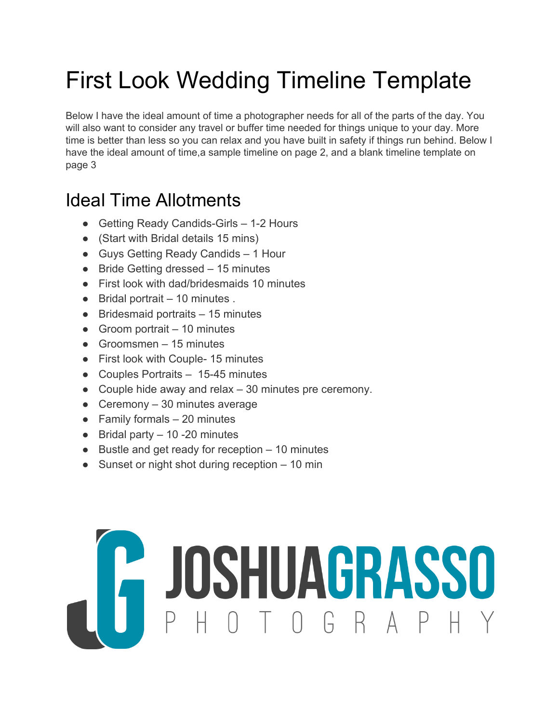# First Look Wedding Timeline Template

Below I have the ideal amount of time a photographer needs for all of the parts of the day. You will also want to consider any travel or buffer time needed for things unique to your day. More time is better than less so you can relax and you have built in safety if things run behind. Below I have the ideal amount of time, a sample timeline on page 2, and a blank timeline template on page 3

### Ideal Time Allotments

- Getting Ready Candids-Girls 1-2 Hours
- (Start with Bridal details 15 mins)
- Guys Getting Ready Candids 1 Hour
- Bride Getting dressed 15 minutes
- First look with dad/bridesmaids 10 minutes
- $\bullet$  Bridal portrait  $-10$  minutes.
- Bridesmaid portraits 15 minutes
- $\bullet$  Groom portrait  $-10$  minutes
- $\bullet$  Groomsmen 15 minutes
- First look with Couple- 15 minutes
- Couples Portraits 15-45 minutes
- Couple hide away and relax 30 minutes pre ceremony.
- Ceremony  $-30$  minutes average
- $\bullet$  Family formals  $-20$  minutes
- $\bullet$  Bridal party  $-10 20$  minutes
- Bustle and get ready for reception 10 minutes
- Sunset or night shot during reception 10 min

# COSHUAGRASSO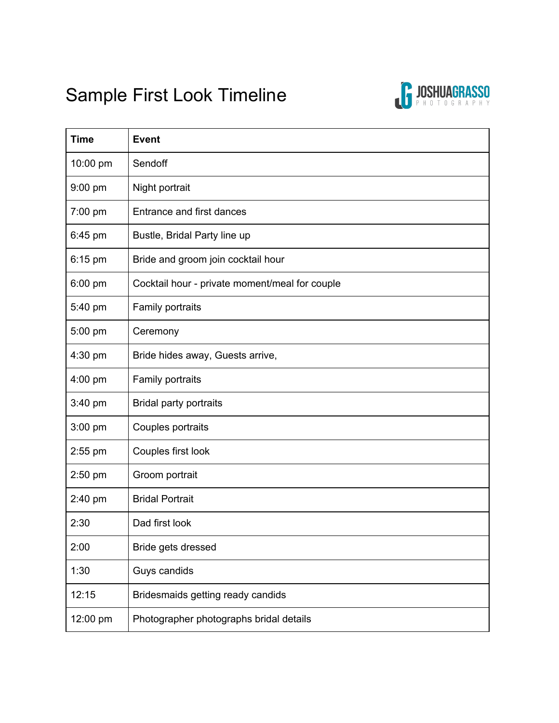## Sample First Look Timeline



| <b>Time</b> | <b>Event</b>                                   |
|-------------|------------------------------------------------|
| 10:00 pm    | Sendoff                                        |
| 9:00 pm     | Night portrait                                 |
| 7:00 pm     | Entrance and first dances                      |
| 6:45 pm     | Bustle, Bridal Party line up                   |
| $6:15$ pm   | Bride and groom join cocktail hour             |
| 6:00 pm     | Cocktail hour - private moment/meal for couple |
| 5:40 pm     | Family portraits                               |
| 5:00 pm     | Ceremony                                       |
| 4:30 pm     | Bride hides away, Guests arrive,               |
| 4:00 pm     | Family portraits                               |
| 3:40 pm     | <b>Bridal party portraits</b>                  |
| 3:00 pm     | Couples portraits                              |
| $2:55$ pm   | Couples first look                             |
| 2:50 pm     | Groom portrait                                 |
| $2:40$ pm   | <b>Bridal Portrait</b>                         |
| 2:30        | Dad first look                                 |
| 2:00        | Bride gets dressed                             |
| 1:30        | Guys candids                                   |
| 12:15       | Bridesmaids getting ready candids              |
| 12:00 pm    | Photographer photographs bridal details        |